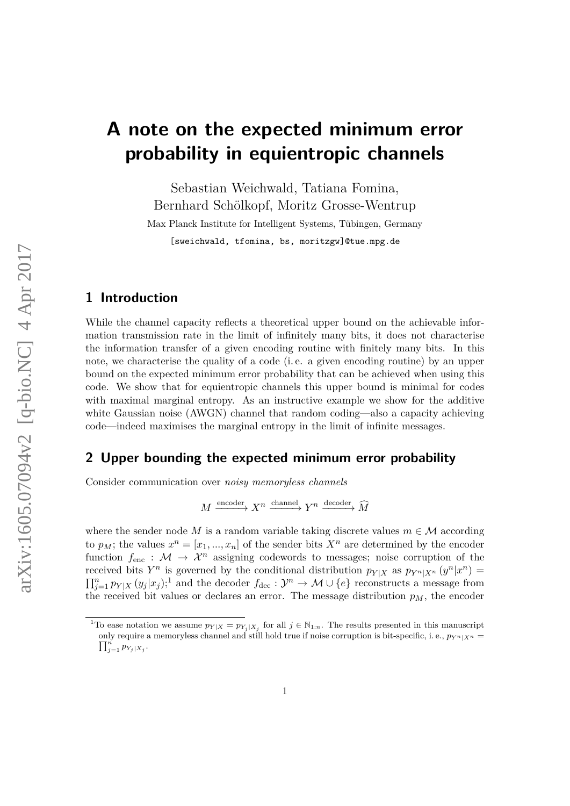# **A note on the expected minimum error probability in equientropic channels**

Sebastian Weichwald, Tatiana Fomina, Bernhard Schölkopf, Moritz Grosse-Wentrup

Max Planck Institute for Intelligent Systems, Tübingen, Germany [sweichwald, tfomina, bs, moritzgw]@tue.mpg.de

#### **1 Introduction**

While the channel capacity reflects a theoretical upper bound on the achievable information transmission rate in the limit of infinitely many bits, it does not characterise the information transfer of a given encoding routine with finitely many bits. In this note, we characterise the quality of a code (i. e. a given encoding routine) by an upper bound on the expected minimum error probability that can be achieved when using this code. We show that for equientropic channels this upper bound is minimal for codes with maximal marginal entropy. As an instructive example we show for the additive white Gaussian noise (AWGN) channel that random coding—also a capacity achieving code—indeed maximises the marginal entropy in the limit of infinite messages.

## **2 Upper bounding the expected minimum error probability**

Consider communication over *noisy memoryless channels*

 $M \xrightarrow{\text{encoder}} X^n \xrightarrow{\text{channel}} Y^n \xrightarrow{\text{decoder}} \widehat{M}$ 

where the sender node *M* is a random variable taking discrete values  $m \in \mathcal{M}$  according to  $p_M$ ; the values  $x^n = [x_1, ..., x_n]$  of the sender bits  $X^n$  are determined by the encoder function  $f_{\text{enc}} : \mathcal{M} \to \mathcal{X}^n$  assigning codewords to messages; noise corruption of the received bits  $Y^n$  is governed by the conditional distribution  $p_{Y|X}$  as  $p_{Y^n|X^n}(y^n|x^n) =$  $\prod_{j=1}^n p_{Y|X}(y_j|x_j);$  $\prod_{j=1}^n p_{Y|X}(y_j|x_j);$  $\prod_{j=1}^n p_{Y|X}(y_j|x_j);$ <sup>1</sup> and the decoder  $f_{\text{dec}}: \mathcal{Y}^n \to \mathcal{M} \cup \{e\}$  reconstructs a message from the received bit values or declares an error. The message distribution  $p<sub>M</sub>$ , the encoder

<span id="page-0-0"></span><sup>&</sup>lt;sup>1</sup>To ease notation we assume  $p_{Y|X} = p_{Y_j|X_j}$  for all  $j \in \mathbb{N}_{1:n}$ . The results presented in this manuscript  $\prod_{j=1}^{n} p_{Y_j|X_j}$ . only require a memoryless channel and still hold true if noise corruption is bit-specific, i.e.,  $p_{Y^n|X^n} =$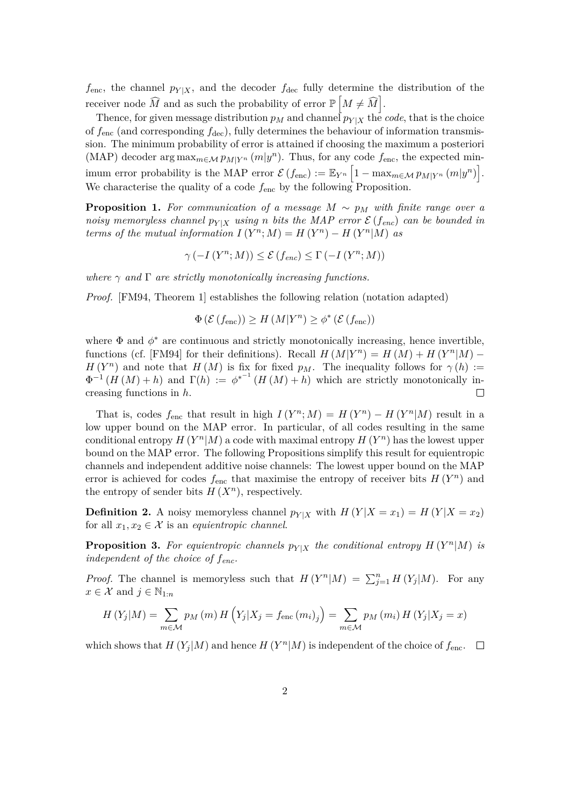$f_{\text{enc}}$ , the channel  $p_{Y|X}$ , and the decoder  $f_{\text{dec}}$  fully determine the distribution of the receiver node  $\widehat{M}$  and as such the probability of error  $\mathbb{P}\left[M \neq \widehat{M}\right]$ .

Thence, for given message distribution  $p_M$  and channel  $p_{Y|X}$  the *code*, that is the choice of  $f_{\text{enc}}$  (and corresponding  $f_{\text{dec}}$ ), fully determines the behaviour of information transmission. The minimum probability of error is attained if choosing the maximum a posteriori (MAP) decoder  $\arg \max_{m \in \mathcal{M}} p_{M|Y^n} (m|y^n)$ . Thus, for any code  $f_{\text{enc}}$ , the expected minimum error probability is the MAP error  $\mathcal{E}(f_{\text{enc}}) := \mathbb{E}_{Y^n} \left[1 - \max_{m \in \mathcal{M}} p_{M|Y^n}(m|y^n)\right]$ . We characterise the quality of a code  $f_{\text{enc}}$  by the following Proposition.

<span id="page-1-0"></span>**Proposition 1.** For communication of a message  $M \sim p_M$  with finite range over a *noisy memoryless channel*  $p_{Y|X}$  *using n bits the MAP error*  $\mathcal{E}(f_{enc})$  *can be bounded in terms of the mutual information*  $I(Y^n; M) = H(Y^n) - H(Y^n|M)$  *as* 

$$
\gamma\left(-I\left(Y^{n};M\right)\right) \leq \mathcal{E}\left(f_{enc}\right) \leq \Gamma\left(-I\left(Y^{n};M\right)\right)
$$

*where*  $\gamma$  *and*  $\Gamma$  *are strictly monotonically increasing functions.* 

*Proof.* [\[FM94,](#page-4-0) Theorem 1] establishes the following relation (notation adapted)

$$
\Phi\left(\mathcal{E}\left(f_{\text{enc}}\right)\right) \ge H\left(M|Y^{n}\right) \ge \phi^{*}\left(\mathcal{E}\left(f_{\text{enc}}\right)\right)
$$

where  $\Phi$  and  $\phi^*$  are continuous and strictly monotonically increasing, hence invertible, functions (cf. [\[FM94\]](#page-4-0) for their definitions). Recall  $H(M|Y^n) = H(M) + H(Y^n|M)$ *H* (*Y*<sup>n</sup>) and note that *H* (*M*) is fix for fixed *p<sub>M</sub>*. The inequality follows for  $\gamma(h)$  :=  $\Phi^{-1}(H(M) + h)$  and  $\Gamma(h) := \phi^{*^{-1}}(H(M) + h)$  which are strictly monotonically increasing functions in *h*.  $\Box$ 

That is, codes  $f_{\text{enc}}$  that result in high  $I(Y^n; M) = H(Y^n) - H(Y^n | M)$  result in a low upper bound on the MAP error. In particular, of all codes resulting in the same conditional entropy  $H(Y^n|M)$  a code with maximal entropy  $H(Y^n)$  has the lowest upper bound on the MAP error. The following Propositions simplify this result for equientropic channels and independent additive noise channels: The lowest upper bound on the MAP error is achieved for codes  $f_{\text{enc}}$  that maximise the entropy of receiver bits  $H(Y^n)$  and the entropy of sender bits  $H(X^n)$ , respectively.

**Definition 2.** A noisy memoryless channel  $p_{Y|X}$  with  $H(Y|X=x_1) = H(Y|X=x_2)$ for all  $x_1, x_2 \in \mathcal{X}$  is an *equientropic channel*.

**Proposition 3.** For equientropic channels  $p_{Y|X}$  the conditional entropy  $H(Y^n|M)$  is *independent of the choice of fenc.*

*Proof.* The channel is memoryless such that  $H(Y^n|M) = \sum_{j=1}^n H(Y_j|M)$ . For any  $x \in \mathcal{X}$  and  $j \in \mathbb{N}_{1:n}$ 

$$
H(Y_j|M) = \sum_{m \in \mathcal{M}} p_M(m) H(Y_j|X_j = f_{\text{enc}}(m_i)_j) = \sum_{m \in \mathcal{M}} p_M(m_i) H(Y_j|X_j = x)
$$

which shows that  $H(Y_j|M)$  and hence  $H(Y^n|M)$  is independent of the choice of  $f_{\text{enc}}$ .  $\Box$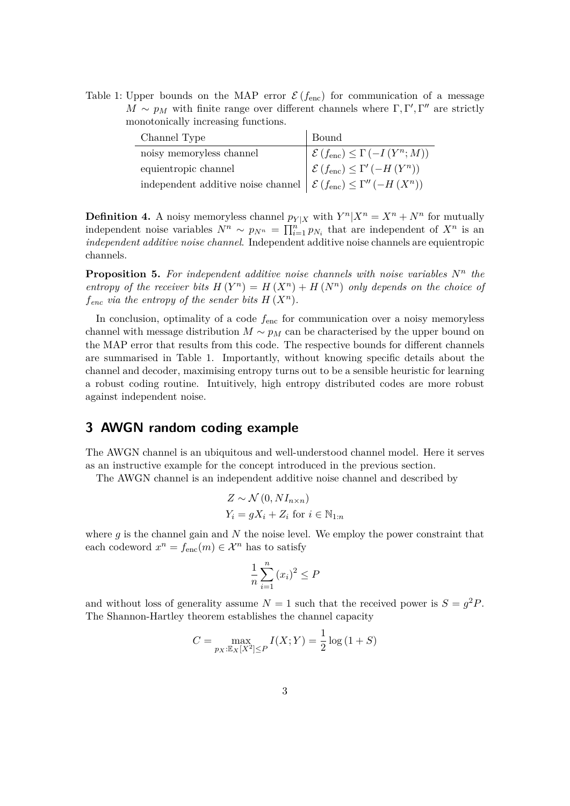<span id="page-2-0"></span>Table 1: Upper bounds on the MAP error  $\mathcal{E}(f_{\text{enc}})$  for communication of a message  $M \sim p_M$  with finite range over different channels where  $\Gamma, \Gamma', \Gamma''$  are strictly monotonically increasing functions.

| Channel Type                                                                                           | Bound                                                                                                                                |
|--------------------------------------------------------------------------------------------------------|--------------------------------------------------------------------------------------------------------------------------------------|
| noisy memoryless channel                                                                               |                                                                                                                                      |
| equientropic channel                                                                                   | $\begin{cases} \mathcal{E}(f_{\text{enc}}) \leq \Gamma(-I(Y^n; M)) \\ \mathcal{E}(f_{\text{enc}}) \leq \Gamma'(-H(Y^n)) \end{cases}$ |
| independent additive noise channel $\left  \mathcal{E}(f_{\text{enc}}) \leq \Gamma''(-H(X^n)) \right $ |                                                                                                                                      |

**Definition 4.** A noisy memoryless channel  $p_{Y|X}$  with  $Y^n | X^n = X^n + N^n$  for mutually independent noise variables  $N^n \sim p_{N^n} = \prod_{i=1}^n p_{N_i}$  that are independent of  $X^n$  is an *independent additive noise channel*. Independent additive noise channels are equientropic channels.

**Proposition 5.** For independent additive noise channels with noise variables  $N^n$  the *entropy of the receiver bits*  $H(Y^n) = H(X^n) + H(N^n)$  *only depends on the choice of f*<sub>enc</sub> *via the entropy of the sender bits*  $H(X^n)$ *.* 

In conclusion, optimality of a code  $f_{\text{enc}}$  for communication over a noisy memoryless channel with message distribution  $M \sim p_M$  can be characterised by the upper bound on the MAP error that results from this code. The respective bounds for different channels are summarised in Table [1.](#page-2-0) Importantly, without knowing specific details about the channel and decoder, maximising entropy turns out to be a sensible heuristic for learning a robust coding routine. Intuitively, high entropy distributed codes are more robust against independent noise.

## **3 AWGN random coding example**

The AWGN channel is an ubiquitous and well-understood channel model. Here it serves as an instructive example for the concept introduced in the previous section.

The AWGN channel is an independent additive noise channel and described by

$$
Z \sim \mathcal{N}(0, NI_{n \times n})
$$
  
 
$$
Y_i = gX_i + Z_i \text{ for } i \in \mathbb{N}_{1:n}
$$

where *g* is the channel gain and *N* the noise level. We employ the power constraint that each codeword  $x^n = f_{\text{enc}}(m) \in \mathcal{X}^n$  has to satisfy

$$
\frac{1}{n}\sum_{i=1}^{n}(x_i)^2 \le P
$$

and without loss of generality assume  $N = 1$  such that the received power is  $S = g^2 P$ . The Shannon-Hartley theorem establishes the channel capacity

$$
C = \max_{p_X : \mathbb{E}_X[X^2] \le P} I(X;Y) = \frac{1}{2} \log (1+S)
$$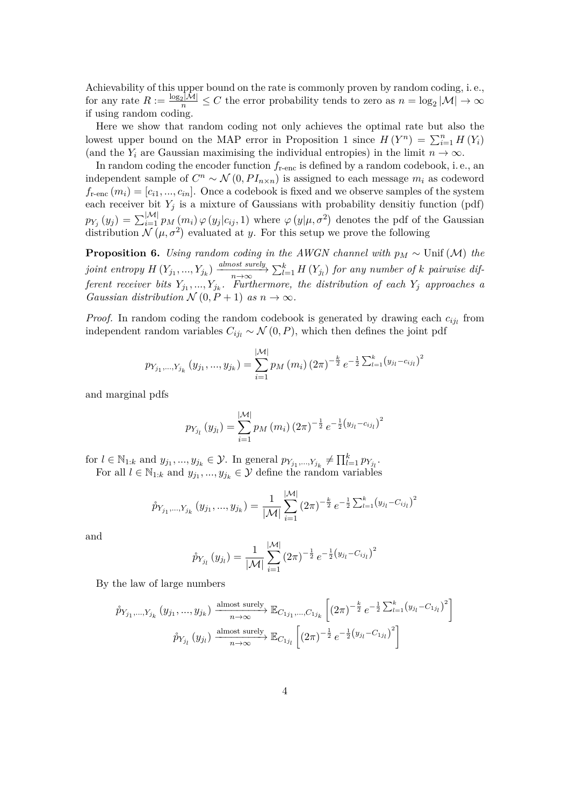Achievability of this upper bound on the rate is commonly proven by random coding, i. e., for any rate  $R := \frac{\log_2 |\mathcal{M}|}{n} \leq C$  the error probability tends to zero as  $n = \log_2 |\mathcal{M}| \to \infty$ if using random coding.

Here we show that random coding not only achieves the optimal rate but also the lowest upper bound on the MAP error in Proposition [1](#page-1-0) since  $H(Y^n) = \sum_{i=1}^n H(Y_i)$ (and the  $Y_i$  are Gaussian maximising the individual entropies) in the limit  $n \to \infty$ .

In random coding the encoder function  $f_{\text{r-enc}}$  is defined by a random codebook, i.e., an independent sample of  $C^n \sim \mathcal{N}(0, PI_{n \times n})$  is assigned to each message  $m_i$  as codeword  $f_{\text{r-enc}}(m_i) = [c_{i1},...,c_{in}]$ . Once a codebook is fixed and we observe samples of the system each receiver bit  $Y_j$  is a mixture of Gaussians with probability densitiy function (pdf)  $p_{Y_j}(y_j) = \sum_{i=1}^{|\mathcal{M}|} p_M(m_i) \varphi(y_j|c_{ij}, 1)$  where  $\varphi(y|\mu, \sigma^2)$  denotes the pdf of the Gaussian distribution  $\mathcal{N}(\mu, \sigma^2)$  evaluated at *y*. For this setup we prove the following

**Proposition 6.** *Using random coding in the AWGN channel with p<sup>M</sup>* ∼ Unif (M) *the* joint entropy  $H(Y_{j_1},...,Y_{j_k})$   $\frac{almost \ surely}{n\rightarrow\infty}$   $\sum_{l=1}^k H(Y_{j_l})$  for any number of k pairwise dif*ferent receiver bits*  $Y_{j_1},...,Y_{j_k}$ *. Furthermore, the distribution of each*  $Y_j$  *approaches a Gaussian distribution*  $N(0, P+1)$  *as*  $n \to \infty$ *.* 

*Proof.* In random coding the random codebook is generated by drawing each  $c_{ij}$  from independent random variables  $C_{ij} \sim \mathcal{N}(0, P)$ , which then defines the joint pdf

$$
p_{Y_{j_1},...,Y_{j_k}}(y_{j_1},...,y_{j_k}) = \sum_{i=1}^{|\mathcal{M}|} p_M(m_i) (2\pi)^{-\frac{k}{2}} e^{-\frac{1}{2}\sum_{l=1}^k (y_{j_l} - c_{ij_l})^2}
$$

and marginal pdfs

$$
p_{Y_{j_l}}(y_{j_l}) = \sum_{i=1}^{|\mathcal{M}|} p_M(m_i) (2\pi)^{-\frac{1}{2}} e^{-\frac{1}{2}(y_{j_l} - c_{ij_l})^2}
$$

for  $l \in \mathbb{N}_{1:k}$  and  $y_{j_1}, ..., y_{j_k} \in \mathcal{Y}$ . In general  $p_{Y_{j_1}, ..., Y_{j_k}} \neq \prod_{l=1}^k p_{Y_{j_l}}$ . For all  $l \in \mathbb{N}_{1:k}$  and  $y_{j_1},..., y_{j_k} \in \mathcal{Y}$  define the random variables

$$
\hat{p}_{Y_{j_1},...,Y_{j_k}}(y_{j_1},...,y_{j_k}) = \frac{1}{|\mathcal{M}|} \sum_{i=1}^{|\mathcal{M}|} (2\pi)^{-\frac{k}{2}} e^{-\frac{1}{2} \sum_{l=1}^k (y_{j_l} - C_{ij_l})^2}
$$

and

$$
\hat{p}_{Y_{j_l}}(y_{j_l}) = \frac{1}{|\mathcal{M}|} \sum_{i=1}^{|\mathcal{M}|} (2\pi)^{-\frac{1}{2}} e^{-\frac{1}{2}(y_{j_l} - C_{ij_l})^2}
$$

By the law of large numbers

$$
\hat{p}_{Y_{j_1},...,Y_{j_k}}(y_{j_1},...,y_{j_k}) \xrightarrow[n \to \infty]{\text{almost surely}} \mathbb{E}_{C_{1j_1},...,C_{1j_k}} \left[ (2\pi)^{-\frac{k}{2}} e^{-\frac{1}{2} \sum_{l=1}^k (y_{j_l} - C_{1j_l})^2} \right]
$$
\n
$$
\hat{p}_{Y_{j_l}}(y_{j_l}) \xrightarrow[n \to \infty]{\text{almost surely}} \mathbb{E}_{C_{1j_l}} \left[ (2\pi)^{-\frac{1}{2}} e^{-\frac{1}{2} (y_{j_l} - C_{1j_l})^2} \right]
$$